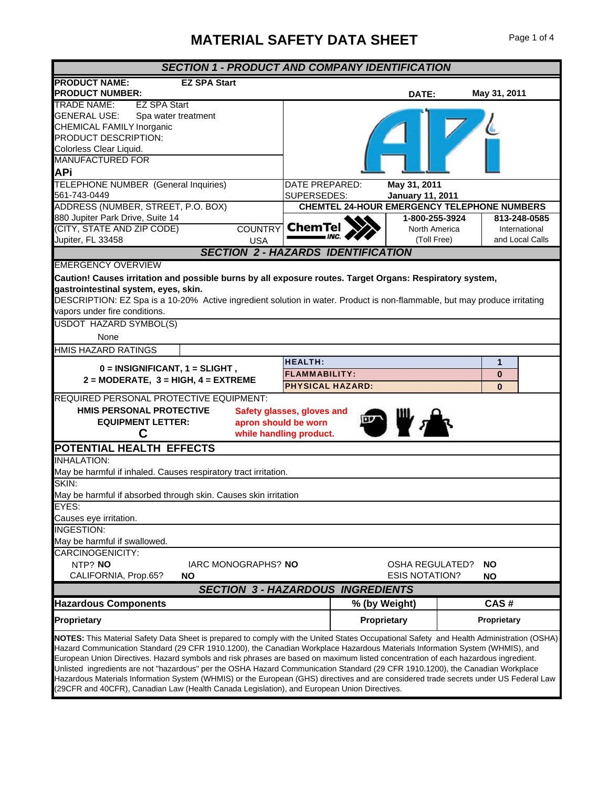## **MATERIAL SAFETY DATA SHEET** Page 1 of 4

| <b>SECTION 1 - PRODUCT AND COMPANY IDENTIFICATION</b>                                                                                                                                                                                                                                                                                                                                                                                                                                                                                                                                                                                                                                                                                                                                    |                                                                   |                                                    |                                                  |  |
|------------------------------------------------------------------------------------------------------------------------------------------------------------------------------------------------------------------------------------------------------------------------------------------------------------------------------------------------------------------------------------------------------------------------------------------------------------------------------------------------------------------------------------------------------------------------------------------------------------------------------------------------------------------------------------------------------------------------------------------------------------------------------------------|-------------------------------------------------------------------|----------------------------------------------------|--------------------------------------------------|--|
| <b>PRODUCT NAME:</b><br><b>EZ SPA Start</b><br><b>PRODUCT NUMBER:</b>                                                                                                                                                                                                                                                                                                                                                                                                                                                                                                                                                                                                                                                                                                                    |                                                                   | DATE:                                              | May 31, 2011                                     |  |
| <b>TRADE NAME:</b><br><b>EZ SPA Start</b><br><b>GENERAL USE:</b><br>Spa water treatment<br>CHEMICAL FAMILY Inorganic<br>PRODUCT DESCRIPTION:<br>Colorless Clear Liquid.<br><b>MANUFACTURED FOR</b><br><b>APi</b>                                                                                                                                                                                                                                                                                                                                                                                                                                                                                                                                                                         |                                                                   |                                                    |                                                  |  |
| <b>TELEPHONE NUMBER (General Inquiries)</b><br>561-743-0449                                                                                                                                                                                                                                                                                                                                                                                                                                                                                                                                                                                                                                                                                                                              | DATE PREPARED:<br>SUPERSEDES:                                     | May 31, 2011<br><b>January 11, 2011</b>            |                                                  |  |
| ADDRESS (NUMBER, STREET, P.O. BOX)                                                                                                                                                                                                                                                                                                                                                                                                                                                                                                                                                                                                                                                                                                                                                       |                                                                   | <b>CHEMTEL 24-HOUR EMERGENCY TELEPHONE NUMBERS</b> |                                                  |  |
| 880 Jupiter Park Drive, Suite 14<br><b>COUNTRY</b><br>(CITY, STATE AND ZIP CODE)<br>Jupiter, FL 33458<br><b>USA</b>                                                                                                                                                                                                                                                                                                                                                                                                                                                                                                                                                                                                                                                                      | <b>ChemTe</b>                                                     | 1-800-255-3924<br>North America<br>(Toll Free)     | 813-248-0585<br>International<br>and Local Calls |  |
|                                                                                                                                                                                                                                                                                                                                                                                                                                                                                                                                                                                                                                                                                                                                                                                          | <b>SECTION 2 - HAZARDS IDENTIFICATION</b>                         |                                                    |                                                  |  |
| <b>EMERGENCY OVERVIEW</b><br>Caution! Causes irritation and possible burns by all exposure routes. Target Organs: Respiratory system,<br>gastrointestinal system, eyes, skin.<br>DESCRIPTION: EZ Spa is a 10-20% Active ingredient solution in water. Product is non-flammable, but may produce irritating<br>vapors under fire conditions.                                                                                                                                                                                                                                                                                                                                                                                                                                              |                                                                   |                                                    |                                                  |  |
| <b>USDOT HAZARD SYMBOL(S)</b><br><b>None</b>                                                                                                                                                                                                                                                                                                                                                                                                                                                                                                                                                                                                                                                                                                                                             |                                                                   |                                                    |                                                  |  |
| HMIS HAZARD RATINGS                                                                                                                                                                                                                                                                                                                                                                                                                                                                                                                                                                                                                                                                                                                                                                      |                                                                   |                                                    |                                                  |  |
| $0 = INSIGNIFICANT, 1 = SLIGHT,$<br>$2 = MODERATE$ , $3 = HIGH$ , $4 = EXTERENE$                                                                                                                                                                                                                                                                                                                                                                                                                                                                                                                                                                                                                                                                                                         | <b>HEALTH:</b><br><b>FLAMMABILITY:</b><br><b>PHYSICAL HAZARD:</b> |                                                    | 1<br>0<br>$\Omega$                               |  |
| REQUIRED PERSONAL PROTECTIVE EQUIPMENT:<br><b>HMIS PERSONAL PROTECTIVE</b><br><b>EQUIPMENT LETTER:</b><br>apron should be worn<br>C                                                                                                                                                                                                                                                                                                                                                                                                                                                                                                                                                                                                                                                      | Safety glasses, gloves and<br>while handling product.             |                                                    |                                                  |  |
| POTENTIAL HEALTH EFFECTS                                                                                                                                                                                                                                                                                                                                                                                                                                                                                                                                                                                                                                                                                                                                                                 |                                                                   |                                                    |                                                  |  |
| <b>INHALATION:</b><br>May be harmful if inhaled. Causes respiratory tract irritation.                                                                                                                                                                                                                                                                                                                                                                                                                                                                                                                                                                                                                                                                                                    |                                                                   |                                                    |                                                  |  |
| SKIN:<br>May be harmful if absorbed through skin. Causes skin irritation                                                                                                                                                                                                                                                                                                                                                                                                                                                                                                                                                                                                                                                                                                                 |                                                                   |                                                    |                                                  |  |
| <b>EYES:</b><br>Causes eye irritation.                                                                                                                                                                                                                                                                                                                                                                                                                                                                                                                                                                                                                                                                                                                                                   |                                                                   |                                                    |                                                  |  |
| <b>INGESTION:</b><br>May be harmful if swallowed.                                                                                                                                                                                                                                                                                                                                                                                                                                                                                                                                                                                                                                                                                                                                        |                                                                   |                                                    |                                                  |  |
| CARCINOGENICITY:<br>NTP? NO<br>IARC MONOGRAPHS? NO<br>CALIFORNIA, Prop.65?<br><b>NO</b>                                                                                                                                                                                                                                                                                                                                                                                                                                                                                                                                                                                                                                                                                                  |                                                                   | <b>OSHA REGULATED?</b><br><b>ESIS NOTATION?</b>    | <b>NO</b><br><b>NO</b>                           |  |
| <b>SECTION 3 - HAZARDOUS INGREDIENTS</b>                                                                                                                                                                                                                                                                                                                                                                                                                                                                                                                                                                                                                                                                                                                                                 |                                                                   |                                                    |                                                  |  |
| <b>Hazardous Components</b>                                                                                                                                                                                                                                                                                                                                                                                                                                                                                                                                                                                                                                                                                                                                                              | % (by Weight)                                                     |                                                    | CAS#                                             |  |
| <b>Proprietary</b>                                                                                                                                                                                                                                                                                                                                                                                                                                                                                                                                                                                                                                                                                                                                                                       | Proprietary                                                       |                                                    | Proprietary                                      |  |
| NOTES: This Material Safety Data Sheet is prepared to comply with the United States Occupational Safety and Health Administration (OSHA)<br>Hazard Communication Standard (29 CFR 1910.1200), the Canadian Workplace Hazardous Materials Information System (WHMIS), and<br>European Union Directives. Hazard symbols and risk phrases are based on maximum listed concentration of each hazardous ingredient.<br>Unlisted ingredients are not "hazardous" per the OSHA Hazard Communication Standard (29 CFR 1910.1200), the Canadian Workplace<br>Hazardous Materials Information System (WHMIS) or the European (GHS) directives and are considered trade secrets under US Federal Law<br>(29CFR and 40CFR), Canadian Law (Health Canada Legislation), and European Union Directives. |                                                                   |                                                    |                                                  |  |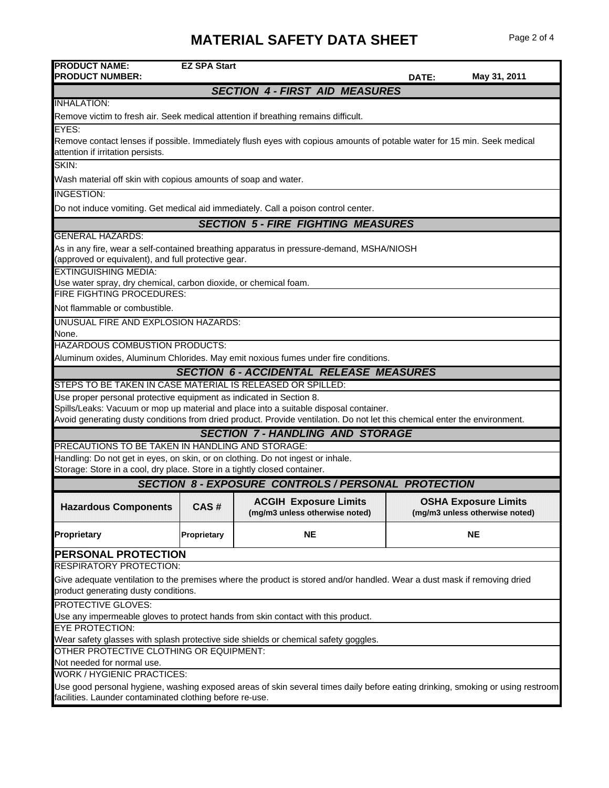## **MATERIAL SAFETY DATA SHEET** Page 2 of 4

| <b>PRODUCT NAME:</b><br><b>PRODUCT NUMBER:</b>                                                                                                                   | <b>EZ SPA Start</b>                                                                 |                                                                                                                            | DATE: | May 31, 2011                                                  |
|------------------------------------------------------------------------------------------------------------------------------------------------------------------|-------------------------------------------------------------------------------------|----------------------------------------------------------------------------------------------------------------------------|-------|---------------------------------------------------------------|
|                                                                                                                                                                  |                                                                                     | <b>SECTION 4 - FIRST AID MEASURES</b>                                                                                      |       |                                                               |
| <b>INHALATION:</b>                                                                                                                                               |                                                                                     |                                                                                                                            |       |                                                               |
|                                                                                                                                                                  |                                                                                     | Remove victim to fresh air. Seek medical attention if breathing remains difficult.                                         |       |                                                               |
| EYES:                                                                                                                                                            |                                                                                     |                                                                                                                            |       |                                                               |
| attention if irritation persists.                                                                                                                                |                                                                                     | Remove contact lenses if possible. Immediately flush eyes with copious amounts of potable water for 15 min. Seek medical   |       |                                                               |
| SKIN:                                                                                                                                                            |                                                                                     |                                                                                                                            |       |                                                               |
| Wash material off skin with copious amounts of soap and water.                                                                                                   |                                                                                     |                                                                                                                            |       |                                                               |
| <b>INGESTION:</b>                                                                                                                                                |                                                                                     |                                                                                                                            |       |                                                               |
|                                                                                                                                                                  |                                                                                     | Do not induce vomiting. Get medical aid immediately. Call a poison control center.                                         |       |                                                               |
|                                                                                                                                                                  |                                                                                     | <b>SECTION 5 - FIRE FIGHTING MEASURES</b>                                                                                  |       |                                                               |
| <b>GENERAL HAZARDS:</b>                                                                                                                                          |                                                                                     |                                                                                                                            |       |                                                               |
| (approved or equivalent), and full protective gear.                                                                                                              |                                                                                     | As in any fire, wear a self-contained breathing apparatus in pressure-demand, MSHA/NIOSH                                   |       |                                                               |
| <b>EXTINGUISHING MEDIA:</b>                                                                                                                                      |                                                                                     |                                                                                                                            |       |                                                               |
| Use water spray, dry chemical, carbon dioxide, or chemical foam.                                                                                                 |                                                                                     |                                                                                                                            |       |                                                               |
| <b>FIRE FIGHTING PROCEDURES:</b>                                                                                                                                 |                                                                                     |                                                                                                                            |       |                                                               |
| Not flammable or combustible.                                                                                                                                    |                                                                                     |                                                                                                                            |       |                                                               |
| UNUSUAL FIRE AND EXPLOSION HAZARDS:                                                                                                                              |                                                                                     |                                                                                                                            |       |                                                               |
| None.                                                                                                                                                            |                                                                                     |                                                                                                                            |       |                                                               |
| HAZARDOUS COMBUSTION PRODUCTS:                                                                                                                                   |                                                                                     |                                                                                                                            |       |                                                               |
|                                                                                                                                                                  |                                                                                     | Aluminum oxides, Aluminum Chlorides. May emit noxious fumes under fire conditions.                                         |       |                                                               |
|                                                                                                                                                                  |                                                                                     | <b>SECTION 6 - ACCIDENTAL RELEASE MEASURES</b>                                                                             |       |                                                               |
| STEPS TO BE TAKEN IN CASE MATERIAL IS RELEASED OR SPILLED:                                                                                                       |                                                                                     |                                                                                                                            |       |                                                               |
| Use proper personal protective equipment as indicated in Section 8.                                                                                              |                                                                                     |                                                                                                                            |       |                                                               |
|                                                                                                                                                                  |                                                                                     | Spills/Leaks: Vacuum or mop up material and place into a suitable disposal container.                                      |       |                                                               |
|                                                                                                                                                                  |                                                                                     | Avoid generating dusty conditions from dried product. Provide ventilation. Do not let this chemical enter the environment. |       |                                                               |
|                                                                                                                                                                  |                                                                                     | <b>SECTION 7-HANDLING AND STORAGE</b>                                                                                      |       |                                                               |
| PRECAUTIONS TO BE TAKEN IN HANDLING AND STORAGE:                                                                                                                 |                                                                                     |                                                                                                                            |       |                                                               |
| Handling: Do not get in eyes, on skin, or on clothing. Do not ingest or inhale.<br>Storage: Store in a cool, dry place. Store in a tightly closed container.     |                                                                                     |                                                                                                                            |       |                                                               |
| <b>SECTION 8 - EXPOSURE CONTROLS / PERSONAL PROTECTION</b>                                                                                                       |                                                                                     |                                                                                                                            |       |                                                               |
| <b>Hazardous Components</b>                                                                                                                                      | CAS #                                                                               | <b>ACGIH Exposure Limits</b><br>(mg/m3 unless otherwise noted)                                                             |       | <b>OSHA Exposure Limits</b><br>(mg/m3 unless otherwise noted) |
| Proprietary                                                                                                                                                      | Proprietary                                                                         | <b>NE</b>                                                                                                                  |       | <b>NE</b>                                                     |
| PERSONAL PROTECTION                                                                                                                                              |                                                                                     |                                                                                                                            |       |                                                               |
| <b>RESPIRATORY PROTECTION:</b>                                                                                                                                   |                                                                                     |                                                                                                                            |       |                                                               |
| Give adequate ventilation to the premises where the product is stored and/or handled. Wear a dust mask if removing dried<br>product generating dusty conditions. |                                                                                     |                                                                                                                            |       |                                                               |
| <b>PROTECTIVE GLOVES:</b>                                                                                                                                        |                                                                                     |                                                                                                                            |       |                                                               |
| Use any impermeable gloves to protect hands from skin contact with this product.                                                                                 |                                                                                     |                                                                                                                            |       |                                                               |
| <b>EYE PROTECTION:</b>                                                                                                                                           |                                                                                     |                                                                                                                            |       |                                                               |
|                                                                                                                                                                  | Wear safety glasses with splash protective side shields or chemical safety goggles. |                                                                                                                            |       |                                                               |
| OTHER PROTECTIVE CLOTHING OR EQUIPMENT:                                                                                                                          |                                                                                     |                                                                                                                            |       |                                                               |
| Not needed for normal use.                                                                                                                                       |                                                                                     |                                                                                                                            |       |                                                               |
| WORK / HYGIENIC PRACTICES:<br>Use good personal hygiene, washing exposed areas of skin several times daily before eating drinking, smoking or using restroom     |                                                                                     |                                                                                                                            |       |                                                               |
| facilities. Launder contaminated clothing before re-use.                                                                                                         |                                                                                     |                                                                                                                            |       |                                                               |
|                                                                                                                                                                  |                                                                                     |                                                                                                                            |       |                                                               |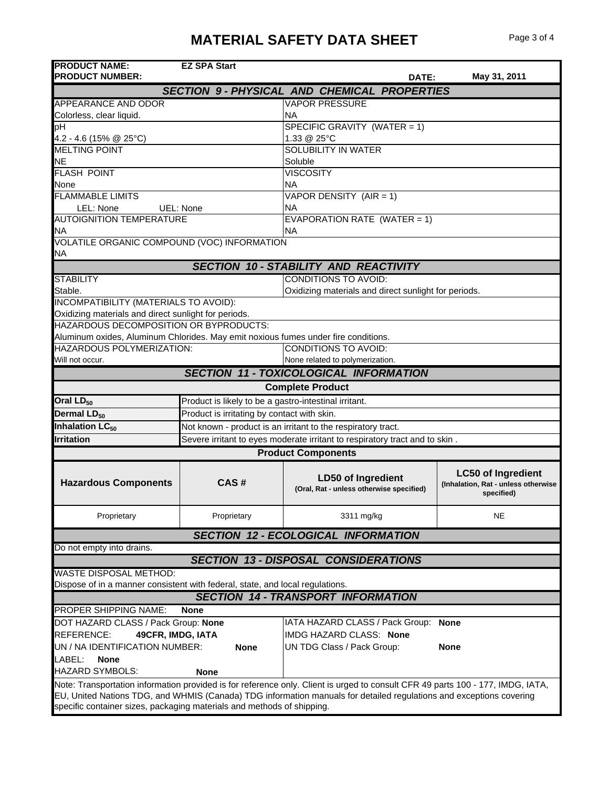| <b>PRODUCT NAME:</b><br><b>PRODUCT NUMBER:</b>                                     | <b>EZ SPA Start</b>                                   |                                                                                                                                                                                                                                                        | DATE: | May 31, 2011                                                                   |
|------------------------------------------------------------------------------------|-------------------------------------------------------|--------------------------------------------------------------------------------------------------------------------------------------------------------------------------------------------------------------------------------------------------------|-------|--------------------------------------------------------------------------------|
|                                                                                    |                                                       | <b>SECTION 9- PHYSICAL AND CHEMICAL PROPERTIES</b>                                                                                                                                                                                                     |       |                                                                                |
| <b>APPEARANCE AND ODOR</b>                                                         |                                                       | <b>VAPOR PRESSURE</b>                                                                                                                                                                                                                                  |       |                                                                                |
| Colorless, clear liquid.                                                           |                                                       | <b>NA</b>                                                                                                                                                                                                                                              |       |                                                                                |
| рH                                                                                 |                                                       | SPECIFIC GRAVITY (WATER = 1)                                                                                                                                                                                                                           |       |                                                                                |
| 4.2 - 4.6 (15% @ 25°C)                                                             |                                                       | 1.33 @ 25°C                                                                                                                                                                                                                                            |       |                                                                                |
| <b>MELTING POINT</b>                                                               |                                                       | <b>SOLUBILITY IN WATER</b>                                                                                                                                                                                                                             |       |                                                                                |
| NΕ                                                                                 |                                                       | Soluble                                                                                                                                                                                                                                                |       |                                                                                |
| <b>FLASH POINT</b>                                                                 |                                                       | <b>VISCOSITY</b>                                                                                                                                                                                                                                       |       |                                                                                |
| None                                                                               |                                                       | NA.                                                                                                                                                                                                                                                    |       |                                                                                |
| <b>FLAMMABLE LIMITS</b>                                                            |                                                       | VAPOR DENSITY (AIR = 1)                                                                                                                                                                                                                                |       |                                                                                |
| LEL: None<br><b>AUTOIGNITION TEMPERATURE</b>                                       | UEL: None                                             | ΝA                                                                                                                                                                                                                                                     |       |                                                                                |
| ΝA                                                                                 |                                                       | EVAPORATION RATE (WATER = 1)                                                                                                                                                                                                                           |       |                                                                                |
| VOLATILE ORGANIC COMPOUND (VOC) INFORMATION                                        |                                                       | NА                                                                                                                                                                                                                                                     |       |                                                                                |
| ΝA                                                                                 |                                                       |                                                                                                                                                                                                                                                        |       |                                                                                |
|                                                                                    |                                                       | <b>SECTION 10 - STABILITY AND REACTIVITY</b>                                                                                                                                                                                                           |       |                                                                                |
| <b>STABILITY</b>                                                                   |                                                       | <b>CONDITIONS TO AVOID:</b>                                                                                                                                                                                                                            |       |                                                                                |
| Stable.                                                                            |                                                       | Oxidizing materials and direct sunlight for periods.                                                                                                                                                                                                   |       |                                                                                |
| INCOMPATIBILITY (MATERIALS TO AVOID):                                              |                                                       |                                                                                                                                                                                                                                                        |       |                                                                                |
| Oxidizing materials and direct sunlight for periods.                               |                                                       |                                                                                                                                                                                                                                                        |       |                                                                                |
| HAZARDOUS DECOMPOSITION OR BYPRODUCTS:                                             |                                                       |                                                                                                                                                                                                                                                        |       |                                                                                |
| Aluminum oxides, Aluminum Chlorides. May emit noxious fumes under fire conditions. |                                                       |                                                                                                                                                                                                                                                        |       |                                                                                |
| HAZARDOUS POLYMERIZATION:                                                          |                                                       | CONDITIONS TO AVOID:                                                                                                                                                                                                                                   |       |                                                                                |
| Will not occur.                                                                    |                                                       | None related to polymerization.                                                                                                                                                                                                                        |       |                                                                                |
|                                                                                    |                                                       | <b>SECTION 11 - TOXICOLOGICAL INFORMATION</b>                                                                                                                                                                                                          |       |                                                                                |
|                                                                                    |                                                       | <b>Complete Product</b>                                                                                                                                                                                                                                |       |                                                                                |
| Oral LD <sub>50</sub>                                                              | Product is likely to be a gastro-intestinal irritant. |                                                                                                                                                                                                                                                        |       |                                                                                |
| Dermal LD <sub>50</sub>                                                            | Product is irritating by contact with skin.           |                                                                                                                                                                                                                                                        |       |                                                                                |
| Inhalation LC <sub>50</sub>                                                        |                                                       | Not known - product is an irritant to the respiratory tract.                                                                                                                                                                                           |       |                                                                                |
| <b>Irritation</b>                                                                  |                                                       | Severe irritant to eyes moderate irritant to respiratory tract and to skin.                                                                                                                                                                            |       |                                                                                |
|                                                                                    |                                                       | <b>Product Components</b>                                                                                                                                                                                                                              |       |                                                                                |
| <b>Hazardous Components</b>                                                        | CAS#                                                  | <b>LD50 of Ingredient</b><br>(Oral, Rat - unless otherwise specified)                                                                                                                                                                                  |       | <b>LC50 of Ingredient</b><br>(Inhalation, Rat - unless otherwise<br>specified) |
| Proprietary                                                                        | Proprietary                                           | 3311 mg/kg                                                                                                                                                                                                                                             |       | NE                                                                             |
|                                                                                    |                                                       | <b>SECTION 12 - ECOLOGICAL INFORMATION</b>                                                                                                                                                                                                             |       |                                                                                |
| Do not empty into drains.                                                          |                                                       |                                                                                                                                                                                                                                                        |       |                                                                                |
|                                                                                    |                                                       | <b>SECTION 13 - DISPOSAL CONSIDERATIONS</b>                                                                                                                                                                                                            |       |                                                                                |
| WASTE DISPOSAL METHOD:                                                             |                                                       |                                                                                                                                                                                                                                                        |       |                                                                                |
| Dispose of in a manner consistent with federal, state, and local regulations.      |                                                       |                                                                                                                                                                                                                                                        |       |                                                                                |
|                                                                                    |                                                       | <b>SECTION 14 - TRANSPORT INFORMATION</b>                                                                                                                                                                                                              |       |                                                                                |
| PROPER SHIPPING NAME:                                                              | <b>None</b>                                           |                                                                                                                                                                                                                                                        |       |                                                                                |
| DOT HAZARD CLASS / Pack Group: None                                                |                                                       | IATA HAZARD CLASS / Pack Group:                                                                                                                                                                                                                        |       | <b>None</b>                                                                    |
| 49CFR, IMDG, IATA<br>REFERENCE:                                                    |                                                       | IMDG HAZARD CLASS: None                                                                                                                                                                                                                                |       |                                                                                |
| UN / NA IDENTIFICATION NUMBER:                                                     | <b>None</b>                                           | UN TDG Class / Pack Group:                                                                                                                                                                                                                             |       | <b>None</b>                                                                    |
| LABEL:<br>None                                                                     |                                                       |                                                                                                                                                                                                                                                        |       |                                                                                |
| <b>HAZARD SYMBOLS:</b>                                                             | <b>None</b>                                           |                                                                                                                                                                                                                                                        |       |                                                                                |
| specific container sizes, packaging materials and methods of shipping.             |                                                       | Note: Transportation information provided is for reference only. Client is urged to consult CFR 49 parts 100 - 177, IMDG, IATA,<br>EU, United Nations TDG, and WHMIS (Canada) TDG information manuals for detailed regulations and exceptions covering |       |                                                                                |